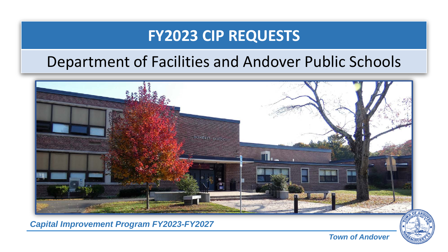## **FY2023 CIP REQUESTS**

## Department of Facilities and Andover Public Schools



*Capital Improvement Program FY2023-FY2027*



*Town of Andover*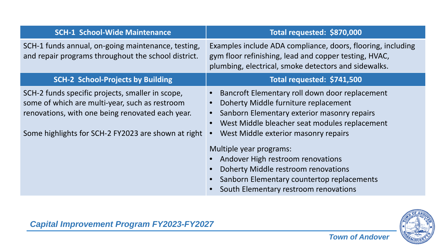| <b>SCH-1 School-Wide Maintenance</b>                                                                                                                                                                          | Total requested: \$870,000                                                                                                                                                                                                                                                                                                                                                                                                                             |
|---------------------------------------------------------------------------------------------------------------------------------------------------------------------------------------------------------------|--------------------------------------------------------------------------------------------------------------------------------------------------------------------------------------------------------------------------------------------------------------------------------------------------------------------------------------------------------------------------------------------------------------------------------------------------------|
| SCH-1 funds annual, on-going maintenance, testing,<br>and repair programs throughout the school district.                                                                                                     | Examples include ADA compliance, doors, flooring, including<br>gym floor refinishing, lead and copper testing, HVAC,<br>plumbing, electrical, smoke detectors and sidewalks.                                                                                                                                                                                                                                                                           |
| <b>SCH-2 School-Projects by Building</b>                                                                                                                                                                      | Total requested: \$741,500                                                                                                                                                                                                                                                                                                                                                                                                                             |
| SCH-2 funds specific projects, smaller in scope,<br>some of which are multi-year, such as restroom<br>renovations, with one being renovated each year.<br>Some highlights for SCH-2 FY2023 are shown at right | Bancroft Elementary roll down door replacement<br>Doherty Middle furniture replacement<br>Sanborn Elementary exterior masonry repairs<br>$\bullet$<br>West Middle bleacher seat modules replacement<br>$\bullet$<br>West Middle exterior masonry repairs<br>Multiple year programs:<br>Andover High restroom renovations<br>Doherty Middle restroom renovations<br>Sanborn Elementary countertop replacements<br>South Elementary restroom renovations |



*Capital Improvement Program FY2023-FY2027*

*Town of Andover*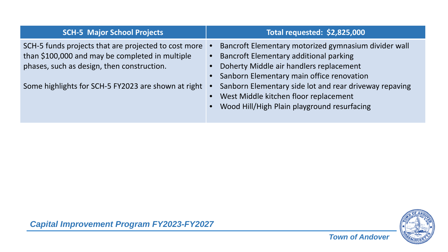| <b>SCH-5 Major School Projects</b>                                                                                                                                                                           | Total requested: \$2,825,000                                                                                                                                                                                                                                |
|--------------------------------------------------------------------------------------------------------------------------------------------------------------------------------------------------------------|-------------------------------------------------------------------------------------------------------------------------------------------------------------------------------------------------------------------------------------------------------------|
| SCH-5 funds projects that are projected to cost more<br>than \$100,000 and may be completed in multiple<br>phases, such as design, then construction.<br>Some highlights for SCH-5 FY2023 are shown at right | Bancroft Elementary motorized gymnasium divider wall<br><b>Bancroft Elementary additional parking</b><br>• Doherty Middle air handlers replacement<br>• Sanborn Elementary main office renovation<br>Sanborn Elementary side lot and rear driveway repaving |
|                                                                                                                                                                                                              | West Middle kitchen floor replacement<br>Wood Hill/High Plain playground resurfacing                                                                                                                                                                        |



*Capital Improvement Program FY2023-FY2027*

*Town of Andover*